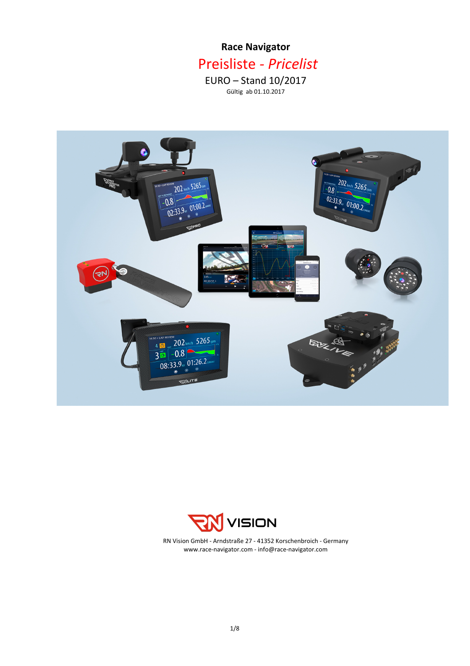# **Race Navigator** Preisliste *- Pricelist*  $EURO -$  Stand  $10/2017$

Gültig ab 01.10.2017





www.race-navigator.com - info@race-navigator.com RN Vision GmbH - Arndstraße 27 - 41352 Korschenbroich - Germany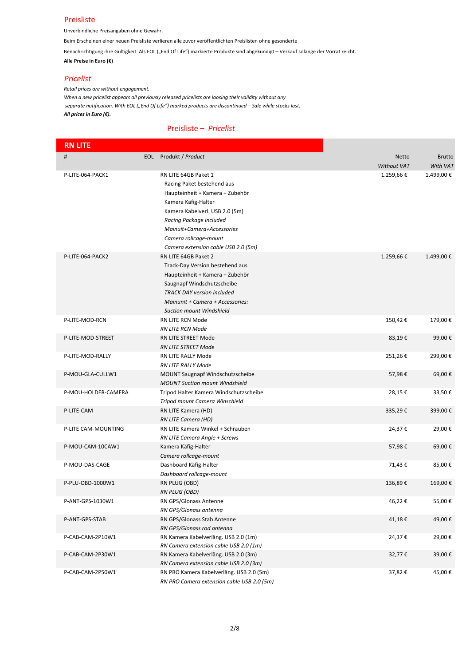#### Preisliste

Unverbindliche Preisangaben ohne Gewähr.

Beim Erscheinen einer neuen Preisliste verlieren alle zuvor veröffentlichten Preislisten ohne gesonderte

Benachrichtigung ihre Gültigkeit. Als EOL ("End Of Life") markierte Produkte sind abgekündigt – Verkauf solange der Vorrat reicht. **Alle Preise in Euro (€)** 

#### *Pricelist*

*Retail prices are without engagement.* When a new pricelist appears all previously released pricelists are loosing their validity without any separate notification. With EOL ("End Of Life") marked products are discontinued - Sale while stocks last. *All prices in Euro (€).* 

## Preisliste - Pricelist

| <b>RN LITE</b>      |                                            |             |               |
|---------------------|--------------------------------------------|-------------|---------------|
| #                   | EOL Produkt / Product                      | Netto       | <b>Brutto</b> |
|                     |                                            | Without VAT | With VAT      |
| P-LITE-064-PACK1    | RN LITE 64GB Paket 1                       | 1.259,66€   | 1.499,00€     |
|                     | Racing Paket bestehend aus                 |             |               |
|                     | Haupteinheit + Kamera + Zubehör            |             |               |
|                     | Kamera Käfig-Halter                        |             |               |
|                     | Kamera Kabelverl. USB 2.0 (5m)             |             |               |
|                     | Racing Package included                    |             |               |
|                     | Mainuit+Camera+Accessories                 |             |               |
|                     | Camera rollcage-mount                      |             |               |
|                     | Camera extension cable USB 2.0 (5m)        |             |               |
| P-LITE-064-PACK2    | RN LITE 64GB Paket 2                       | 1.259,66€   | 1.499,00€     |
|                     | Track-Day Version bestehend aus            |             |               |
|                     | Haupteinheit + Kamera + Zubehör            |             |               |
|                     | Saugnapf Windschutzscheibe                 |             |               |
|                     | <b>TRACK DAY version included</b>          |             |               |
|                     | Mainunit + Camera + Accessories:           |             |               |
|                     | <b>Suction mount Windshield</b>            |             |               |
| P-LITE-MOD-RCN      | <b>RN LITE RCN Mode</b>                    | 150,42€     | 179,00€       |
|                     | <b>RN LITE RCN Mode</b>                    |             |               |
| P-LITE-MOD-STREET   | RN LITE STREET Mode                        | 83,19€      | 99,00€        |
|                     | <b>RN LITE STREET Mode</b>                 |             |               |
| P-LITE-MOD-RALLY    | <b>RN LITE RALLY Mode</b>                  | 251,26€     | 299,00€       |
|                     | RN LITE RALLY Mode                         |             |               |
| P-MOU-GLA-CULLW1    | MOUNT Saugnapf Windschutzscheibe           | 57,98€      | 69,00€        |
|                     | <b>MOUNT Suction mount Windshield</b>      |             |               |
| P-MOU-HOLDER-CAMERA | Tripod Halter Kamera Windschutzscheibe     | 28,15€      | 33,50€        |
|                     | Tripod mount Camera Winschield             |             |               |
| P-LITE-CAM          | RN LITE Kamera (HD)                        | 335,29€     | 399,00€       |
|                     | RN LITE Camera (HD)                        |             |               |
| P-LITE CAM-MOUNTING | RN LITE Kamera Winkel + Schrauben          | 24,37€      | 29,00€        |
|                     | RN LITE Camera Angle + Screws              |             |               |
| P-MOU-CAM-10CAW1    | Kamera Käfig-Halter                        | 57,98€      | 69,00€        |
|                     | Camera rollcage-mount                      |             |               |
| P-MOU-DAS-CAGE      | Dashboard Käfig-Halter                     | 71,43€      | 85,00€        |
|                     | Dashboard rollcage-mount                   |             |               |
| P-PLU-OBD-1000W1    | RN PLUG (OBD)                              | 136,89€     | 169,00€       |
|                     | <b>RN PLUG (OBD)</b>                       |             |               |
| P-ANT-GPS-1030W1    | RN GPS/Glonass Antenne                     | 46,22€      | 55,00€        |
|                     | RN GPS/Glonass antenna                     |             |               |
| P-ANT-GPS-STAB      | RN GPS/Glonass Stab Antenne                | 41,18€      | 49,00€        |
|                     | RN GPS/Glonass rod antenna                 |             |               |
| P-CAB-CAM-2P10W1    | RN Kamera Kabelverläng. USB 2.0 (1m)       | 24,37€      | 29,00€        |
|                     | RN Camera extension cable USB 2.0 (1m)     |             |               |
| P-CAB-CAM-2P30W1    | RN Kamera Kabelverläng. USB 2.0 (3m)       | 32,77€      | 39,00€        |
|                     | RN Camera extension cable USB 2.0 (3m)     |             |               |
| P-CAB-CAM-2P50W1    | RN PRO Kamera Kabelverläng. USB 2.0 (5m)   | 37,82€      | 45,00€        |
|                     | RN PRO Camera extension cable USB 2.0 (5m) |             |               |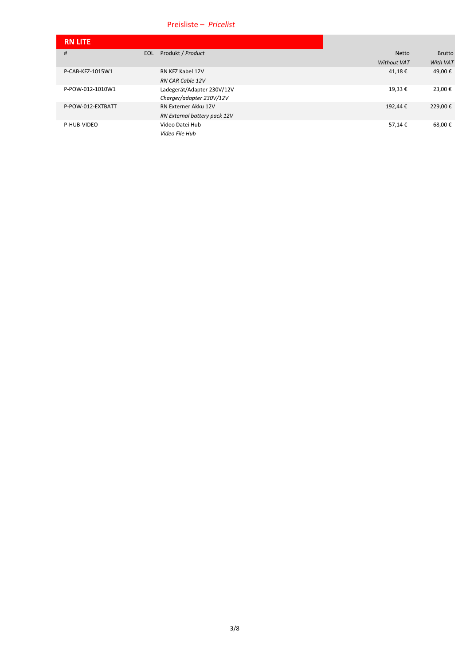# Preisliste – Pricelist

| <b>RN LITE</b>    |            |                              |                    |               |
|-------------------|------------|------------------------------|--------------------|---------------|
| #                 | <b>EOL</b> | Produkt / Product            | <b>Netto</b>       | <b>Brutto</b> |
|                   |            |                              | <b>Without VAT</b> | With VAT      |
| P-CAB-KFZ-1015W1  |            | RN KFZ Kabel 12V             | 41,18€             | 49,00€        |
|                   |            | <b>RN CAR Cable 12V</b>      |                    |               |
| P-POW-012-1010W1  |            | Ladegerät/Adapter 230V/12V   | 19,33€             | 23,00€        |
|                   |            | Charger/adapter 230V/12V     |                    |               |
| P-POW-012-EXTBATT |            | RN Externer Akku 12V         | 192,44€            | 229,00€       |
|                   |            | RN External battery pack 12V |                    |               |
| P-HUB-VIDEO       |            | Video Datei Hub              | 57,14€             | 68,00€        |
|                   |            | Video File Hub               |                    |               |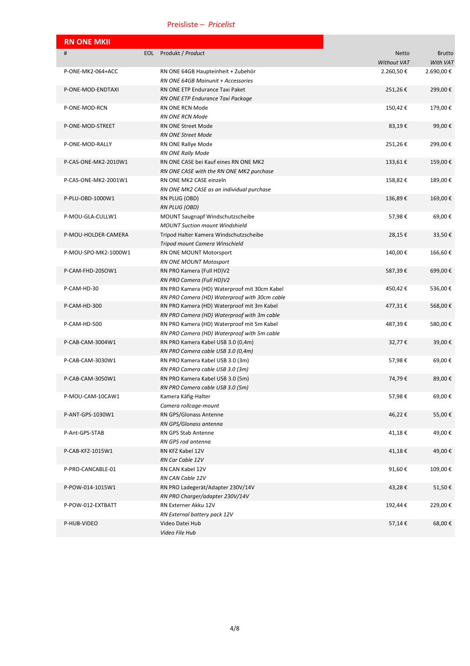## Preisliste –  *Pricelist*

| <b>RN ONE MKII</b>   |                                                                        |             |               |
|----------------------|------------------------------------------------------------------------|-------------|---------------|
| #                    | EOL Produkt / Product                                                  | Netto       | <b>Brutto</b> |
|                      |                                                                        | Without VAT | With VAT      |
| P-ONE-MK2-064+ACC    | RN ONE 64GB Haupteinheit + Zubehör                                     | 2.260,50€   | 2.690,00€     |
|                      | RN ONE 64GB Mainunit + Accessories                                     |             |               |
| P-ONE-MOD-ENDTAXI    | RN ONE ETP Endurance Taxi Paket                                        | 251,26€     | 299,00€       |
|                      | RN ONE ETP Endurance Taxi Package                                      |             |               |
| P-ONE-MOD-RCN        | RN ONE RCN Mode                                                        | 150,42€     | 179,00€       |
|                      | <b>RN ONE RCN Mode</b>                                                 |             |               |
| P-ONE-MOD-STREET     | RN ONE Street Mode                                                     | 83,19€      | 99,00€        |
|                      | <b>RN ONE Street Mode</b>                                              |             |               |
| P-ONE-MOD-RALLY      | RN ONE Rallye Mode                                                     | 251,26€     | 299,00€       |
|                      | <b>RN ONE Rally Mode</b>                                               |             |               |
| P-CAS-ONE-MK2-2010W1 | RN ONE CASE bei Kauf eines RN ONE MK2                                  | 133,61€     | 159,00€       |
|                      | RN ONE CASE with the RN ONE MK2 purchase                               |             |               |
| P-CAS-ONE-MK2-2001W1 | RN ONE MK2 CASE einzeln                                                | 158,82€     | 189,00€       |
|                      | RN ONE MK2 CASE as an individual purchase                              |             |               |
| P-PLU-OBD-1000W1     | RN PLUG (OBD)                                                          | 136,89€     | 169,00€       |
|                      | RN PLUG (OBD)                                                          |             |               |
| P-MOU-GLA-CULLW1     | <b>MOUNT Saugnapf Windschutzscheibe</b>                                | 57,98€      | 69,00€        |
|                      | <b>MOUNT Suction mount Windshield</b>                                  |             |               |
| P-MOU-HOLDER-CAMERA  | Tripod Halter Kamera Windschutzscheibe                                 | 28,15€      | 33,50€        |
|                      | Tripod mount Camera Winschield                                         |             |               |
| P-MOU-SPO-MK2-1000W1 | RN ONE MOUNT Motorsport                                                | 140,00€     | 166,60€       |
|                      | RN ONE MOUNT Motosport                                                 |             |               |
| P-CAM-FHD-20SOW1     | RN PRO Kamera (Full HD)V2                                              | 587,39€     | 699,00€       |
|                      | RN PRO Camera (Full HD)V2                                              |             |               |
| P-CAM-HD-30          | RN PRO Kamera (HD) Waterproof mit 30cm Kabel                           | 450,42€     | 536,00€       |
|                      | RN PRO Camera (HD) Waterproof with 30cm cable                          |             |               |
| P-CAM-HD-300         | RN PRO Kamera (HD) Waterproof mit 3m Kabel                             | 477,31€     | 568,00€       |
|                      | RN PRO Camera (HD) Waterproof with 3m cable                            |             |               |
| P-CAM-HD-500         | RN PRO Kamera (HD) Waterproof mit 5m Kabel                             | 487,39€     | 580,00€       |
| P-CAB-CAM-3004W1     | RN PRO Camera (HD) Waterproof with 5m cable                            | 32,77€      |               |
|                      | RN PRO Kamera Kabel USB 3.0 (0,4m)                                     |             | 39,00€        |
| P-CAB-CAM-3030W1     | RN PRO Camera cable USB 3.0 (0,4m)<br>RN PRO Kamera Kabel USB 3.0 (3m) | 57,98€      | 69,00€        |
|                      | RN PRO Camera cable USB 3.0 (3m)                                       |             |               |
| P-CAB-CAM-3050W1     | RN PRO Kamera Kabel USB 3.0 (5m)                                       | 74,79€      | 89,00€        |
|                      | RN PRO Camera cable USB 3.0 (5m)                                       |             |               |
| P-MOU-CAM-10CAW1     | Kamera Käfig-Halter                                                    | 57,98€      | 69,00€        |
|                      | Camera rollcage-mount                                                  |             |               |
| P-ANT-GPS-1030W1     | RN GPS/Glonass Antenne                                                 | 46,22€      | 55,00€        |
|                      | RN GPS/Glonass antenna                                                 |             |               |
| P-Ant-GPS-STAB       | RN GPS Stab Antenne                                                    | 41,18€      | 49,00€        |
|                      | RN GPS rod antenna                                                     |             |               |
| P-CAB-KFZ-1015W1     | RN KFZ Kabel 12V                                                       | 41,18€      | 49,00€        |
|                      | RN Car Cable 12V                                                       |             |               |
| P-PRO-CANCABLE-01    | RN CAN Kabel 12V                                                       | 91,60€      | 109,00€       |
|                      | RN CAN Cable 12V                                                       |             |               |
| P-POW-014-1015W1     | RN PRO Ladegerät/Adapter 230V/14V                                      | 43,28€      | 51,50€        |
|                      | RN PRO Charger/adapter 230V/14V                                        |             |               |
| P-POW-012-EXTBATT    | RN Externer Akku 12V                                                   | 192,44€     | 229,00€       |
|                      | RN External battery pack 12V                                           |             |               |
| P-HUB-VIDEO          | Video Datei Hub                                                        | 57,14€      | 68,00€        |
|                      | Video File Hub                                                         |             |               |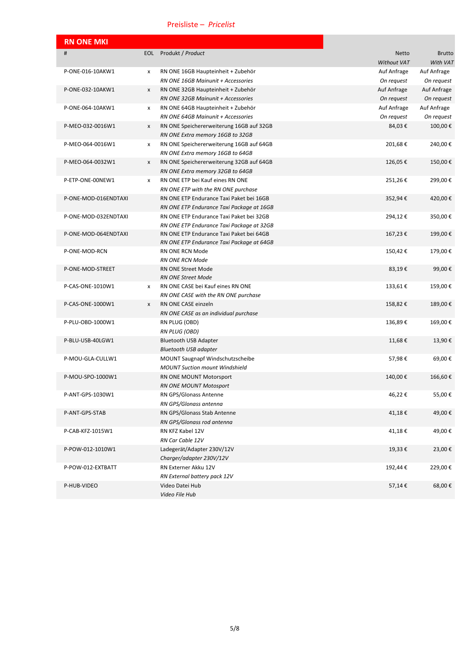## Preisliste –  *Pricelist*

| <b>RN ONE MKI</b>    |     |                                           |             |               |
|----------------------|-----|-------------------------------------------|-------------|---------------|
| #                    | EOL | Produkt / Product                         | Netto       | <b>Brutto</b> |
|                      |     |                                           | Without VAT | With VAT      |
| P-ONE-016-10AKW1     | x   | RN ONE 16GB Haupteinheit + Zubehör        | Auf Anfrage | Auf Anfrage   |
|                      |     | RN ONE 16GB Mainunit + Accessories        | On request  | On request    |
| P-ONE-032-10AKW1     | x   | RN ONE 32GB Haupteinheit + Zubehör        | Auf Anfrage | Auf Anfrage   |
|                      |     | RN ONE 32GB Mainunit + Accessories        | On request  | On request    |
| P-ONE-064-10AKW1     | x   | RN ONE 64GB Haupteinheit + Zubehör        | Auf Anfrage | Auf Anfrage   |
|                      |     | RN ONE 64GB Mainunit + Accessories        | On request  | On request    |
| P-MEO-032-0016W1     | x   | RN ONE Speichererweiterung 16GB auf 32GB  | 84,03€      | 100,00€       |
|                      |     | RN ONE Extra memory 16GB to 32GB          |             |               |
| P-MEO-064-0016W1     | x   | RN ONE Speichererweiterung 16GB auf 64GB  | 201,68€     | 240,00€       |
|                      |     | RN ONE Extra memory 16GB to 64GB          |             |               |
| P-MEO-064-0032W1     | x   | RN ONE Speichererweiterung 32GB auf 64GB  | 126,05€     | 150,00€       |
|                      |     | RN ONE Extra memory 32GB to 64GB          |             |               |
| P-ETP-ONE-00NEW1     | x   | RN ONE ETP bei Kauf eines RN ONE          | 251,26€     | 299,00€       |
|                      |     | RN ONE ETP with the RN ONE purchase       |             |               |
| P-ONE-MOD-016ENDTAXI |     | RN ONE ETP Endurance Taxi Paket bei 16GB  | 352,94€     | 420,00€       |
|                      |     | RN ONE ETP Endurance Taxi Package at 16GB |             |               |
| P-ONE-MOD-032ENDTAXI |     | RN ONE ETP Endurance Taxi Paket bei 32GB  | 294,12€     | 350,00€       |
|                      |     | RN ONE ETP Endurance Taxi Package at 32GB |             |               |
| P-ONE-MOD-064ENDTAXI |     | RN ONE ETP Endurance Taxi Paket bei 64GB  | 167,23€     | 199,00€       |
|                      |     | RN ONE ETP Endurance Taxi Package at 64GB |             |               |
| P-ONE-MOD-RCN        |     | RN ONE RCN Mode                           | 150,42€     | 179,00€       |
|                      |     | <b>RN ONE RCN Mode</b>                    |             |               |
| P-ONE-MOD-STREET     |     | <b>RN ONE Street Mode</b>                 | 83,19€      | 99,00€        |
|                      |     | <b>RN ONE Street Mode</b>                 |             |               |
| P-CAS-ONE-1010W1     | x   | RN ONE CASE bei Kauf eines RN ONE         | 133,61€     | 159,00€       |
|                      |     | RN ONE CASE with the RN ONE purchase      |             |               |
| P-CAS-ONE-1000W1     | x   | RN ONE CASE einzeln                       | 158,82€     | 189,00€       |
|                      |     | RN ONE CASE as an individual purchase     |             |               |
| P-PLU-OBD-1000W1     |     | RN PLUG (OBD)                             | 136,89€     | 169,00€       |
|                      |     | <b>RN PLUG (OBD)</b>                      |             |               |
| P-BLU-USB-40LGW1     |     | <b>Bluetooth USB Adapter</b>              | 11,68€      | 13,90€        |
|                      |     | <b>Bluetooth USB adapter</b>              |             |               |
| P-MOU-GLA-CULLW1     |     | <b>MOUNT Saugnapf Windschutzscheibe</b>   | 57,98€      | 69,00€        |
|                      |     | <b>MOUNT Suction mount Windshield</b>     |             |               |
| P-MOU-SPO-1000W1     |     | RN ONE MOUNT Motorsport                   | 140,00€     | 166,60€       |
|                      |     | RN ONE MOUNT Motosport                    |             |               |
| P-ANT-GPS-1030W1     |     | RN GPS/Glonass Antenne                    | 46,22€      | 55,00€        |
|                      |     | RN GPS/Glonass antenna                    |             |               |
| P-ANT-GPS-STAB       |     | RN GPS/Glonass Stab Antenne               | 41,18€      | 49,00€        |
|                      |     | RN GPS/Glonass rod antenna                |             |               |
| P-CAB-KFZ-1015W1     |     | RN KFZ Kabel 12V                          | 41,18€      | 49,00€        |
|                      |     | RN Car Cable 12V                          |             |               |
| P-POW-012-1010W1     |     | Ladegerät/Adapter 230V/12V                | 19,33€      | 23,00€        |
|                      |     | Charger/adapter 230V/12V                  |             |               |
| P-POW-012-EXTBATT    |     | RN Externer Akku 12V                      | 192,44 €    | 229,00€       |
|                      |     | RN External battery pack 12V              |             |               |
| P-HUB-VIDEO          |     | Video Datei Hub                           | 57,14€      | 68,00€        |
|                      |     | Video File Hub                            |             |               |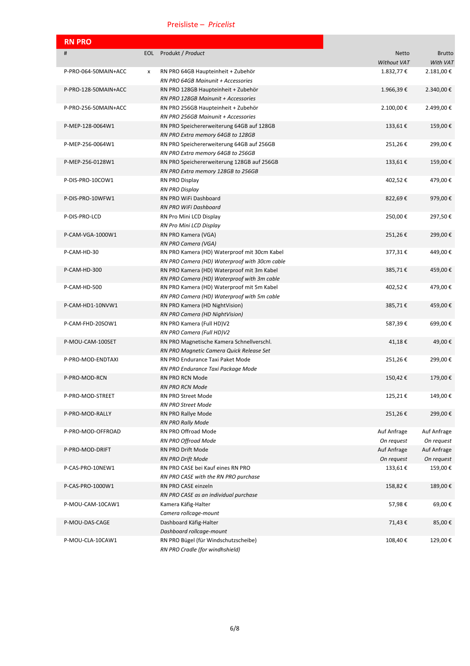# Preisliste – Pricelist

| <b>RN PRO</b>        |     |                                                                                  |                             |                           |
|----------------------|-----|----------------------------------------------------------------------------------|-----------------------------|---------------------------|
| #                    | EOL | Produkt / Product                                                                | <b>Netto</b><br>Without VAT | <b>Brutto</b><br>With VAT |
| P-PRO-064-50MAIN+ACC | x   | RN PRO 64GB Haupteinheit + Zubehör                                               | 1.832,77€                   | 2.181,00€                 |
|                      |     | RN PRO 64GB Mainunit + Accessories                                               |                             |                           |
| P-PRO-128-50MAIN+ACC |     | RN PRO 128GB Haupteinheit + Zubehör                                              | 1.966,39€                   | 2.340,00€                 |
|                      |     | RN PRO 128GB Mainunit + Accessories                                              |                             |                           |
| P-PRO-256-50MAIN+ACC |     | RN PRO 256GB Haupteinheit + Zubehör                                              | 2.100,00€                   | 2.499,00€                 |
|                      |     | RN PRO 256GB Mainunit + Accessories                                              |                             |                           |
| P-MEP-128-0064W1     |     | RN PRO Speichererweiterung 64GB auf 128GB<br>RN PRO Extra memory 64GB to 128GB   | 133,61€                     | 159,00€                   |
| P-MEP-256-0064W1     |     | RN PRO Speichererweiterung 64GB auf 256GB<br>RN PRO Extra memory 64GB to 256GB   | 251,26€                     | 299,00€                   |
| P-MEP-256-0128W1     |     | RN PRO Speichererweiterung 128GB auf 256GB<br>RN PRO Extra memory 128GB to 256GB | 133,61€                     | 159,00€                   |
| P-DIS-PRO-10COW1     |     | RN PRO Display                                                                   | 402,52€                     | 479,00€                   |
|                      |     | <b>RN PRO Display</b>                                                            |                             |                           |
| P-DIS-PRO-10WFW1     |     | RN PRO WiFi Dashboard                                                            | 822,69€                     | 979,00€                   |
|                      |     | RN PRO WiFi Dashboard                                                            |                             |                           |
| P-DIS-PRO-LCD        |     | RN Pro Mini LCD Display                                                          | 250,00€                     | 297,50€                   |
|                      |     | RN Pro Mini LCD Display                                                          |                             |                           |
| P-CAM-VGA-1000W1     |     | RN PRO Kamera (VGA)<br>RN PRO Camera (VGA)                                       | 251,26€                     | 299,00€                   |
| P-CAM-HD-30          |     | RN PRO Kamera (HD) Waterproof mit 30cm Kabel                                     | 377,31€                     | 449,00€                   |
|                      |     | RN PRO Camera (HD) Waterproof with 30cm cable                                    |                             |                           |
| P-CAM-HD-300         |     | RN PRO Kamera (HD) Waterproof mit 3m Kabel                                       | 385,71€                     | 459,00€                   |
|                      |     | RN PRO Camera (HD) Waterproof with 3m cable                                      |                             |                           |
| P-CAM-HD-500         |     | RN PRO Kamera (HD) Waterproof mit 5m Kabel                                       | 402,52€                     | 479,00€                   |
|                      |     | RN PRO Camera (HD) Waterproof with 5m cable                                      |                             |                           |
| P-CAM-HD1-10NVW1     |     | RN PRO Kamera (HD NightVision)                                                   | 385,71€                     | 459,00€                   |
|                      |     | RN PRO Camera (HD NightVision)                                                   |                             |                           |
| P-CAM-FHD-20SOW1     |     | RN PRO Kamera (Full HD)V2                                                        | 587,39€                     | 699,00€                   |
|                      |     | RN PRO Camera (Full HD)V2                                                        |                             |                           |
| P-MOU-CAM-100SET     |     | RN PRO Magnetische Kamera Schnellverschl.                                        | 41,18€                      | 49,00€                    |
|                      |     | RN PRO Magnetic Camera Quick Release Set                                         |                             |                           |
| P-PRO-MOD-ENDTAXI    |     | RN PRO Endurance Taxi Paket Mode                                                 | 251,26€                     | 299,00€                   |
|                      |     | RN PRO Endurance Taxi Package Mode                                               |                             |                           |
| P-PRO-MOD-RCN        |     | <b>RN PRO RCN Mode</b>                                                           | 150,42€                     | 179,00€                   |
|                      |     | <b>RN PRO RCN Mode</b>                                                           |                             |                           |
| P-PRO-MOD-STREET     |     | RN PRO Street Mode                                                               | 125,21€                     | 149,00€                   |
|                      |     | <b>RN PRO Street Mode</b>                                                        |                             |                           |
| P-PRO-MOD-RALLY      |     | RN PRO Rallye Mode                                                               | 251,26€                     | 299,00€                   |
|                      |     | <b>RN PRO Rally Mode</b>                                                         |                             |                           |
| P-PRO-MOD-OFFROAD    |     | RN PRO Offroad Mode<br>RN PRO Offroad Mode                                       | Auf Anfrage<br>On request   | Auf Anfrage<br>On request |
| P-PRO-MOD-DRIFT      |     | RN PRO Drift Mode                                                                | Auf Anfrage                 | Auf Anfrage               |
|                      |     | RN PRO Drift Mode                                                                | On request                  | On request                |
| P-CAS-PRO-10NEW1     |     | RN PRO CASE bei Kauf eines RN PRO                                                | 133,61€                     | 159,00€                   |
|                      |     | RN PRO CASE with the RN PRO purchase                                             |                             |                           |
| P-CAS-PRO-1000W1     |     | RN PRO CASE einzeln                                                              | 158,82€                     | 189,00€                   |
|                      |     | RN PRO CASE as an individual purchase                                            |                             |                           |
| P-MOU-CAM-10CAW1     |     | Kamera Käfig-Halter                                                              | 57,98€                      | 69,00€                    |
|                      |     | Camera rollcage-mount                                                            |                             |                           |
| P-MOU-DAS-CAGE       |     | Dashboard Käfig-Halter                                                           | 71,43€                      | 85,00€                    |
|                      |     | Dashboard rollcage-mount                                                         |                             |                           |
| P-MOU-CLA-10CAW1     |     | RN PRO Bügel (für Windschutzscheibe)                                             | 108,40€                     | 129,00€                   |
|                      |     | RN PRO Cradle (for windhshield)                                                  |                             |                           |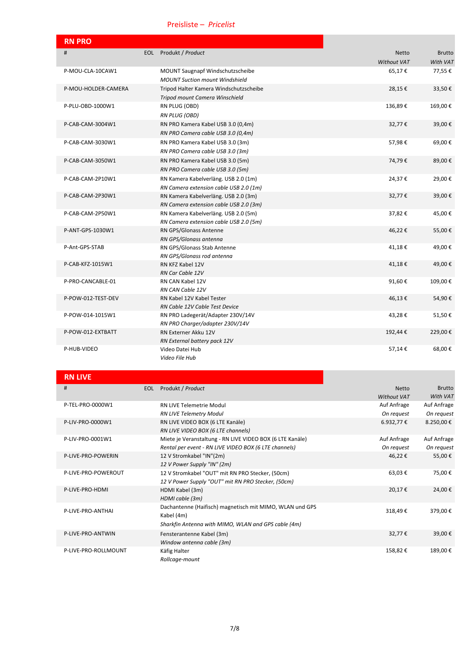## Preisliste – Pricelist

| <b>RN PRO</b>       |                                        |                    |               |
|---------------------|----------------------------------------|--------------------|---------------|
| #                   | EOL Produkt / Product                  | <b>Netto</b>       | <b>Brutto</b> |
|                     |                                        | <b>Without VAT</b> | With VAT      |
| P-MOU-CLA-10CAW1    | MOUNT Saugnapf Windschutzscheibe       | 65,17€             | 77,55€        |
|                     | <b>MOUNT Suction mount Windshield</b>  |                    |               |
| P-MOU-HOLDER-CAMERA | Tripod Halter Kamera Windschutzscheibe | 28,15€             | 33,50€        |
|                     | Tripod mount Camera Winschield         |                    |               |
| P-PLU-OBD-1000W1    | RN PLUG (OBD)                          | 136,89€            | 169,00€       |
|                     | <b>RN PLUG (OBD)</b>                   |                    |               |
| P-CAB-CAM-3004W1    | RN PRO Kamera Kabel USB 3.0 (0,4m)     | 32,77€             | 39,00€        |
|                     | RN PRO Camera cable USB 3.0 (0,4m)     |                    |               |
| P-CAB-CAM-3030W1    | RN PRO Kamera Kabel USB 3.0 (3m)       | 57,98€             | 69,00€        |
|                     | RN PRO Camera cable USB 3.0 (3m)       |                    |               |
| P-CAB-CAM-3050W1    | RN PRO Kamera Kabel USB 3.0 (5m)       | 74,79€             | 89,00€        |
|                     | RN PRO Camera cable USB 3.0 (5m)       |                    |               |
| P-CAB-CAM-2P10W1    | RN Kamera Kabelverläng. USB 2.0 (1m)   | 24,37€             | 29,00€        |
|                     | RN Camera extension cable USB 2.0 (1m) |                    |               |
| P-CAB-CAM-2P30W1    | RN Kamera Kabelverläng. USB 2.0 (3m)   | 32,77€             | 39,00€        |
|                     | RN Camera extension cable USB 2.0 (3m) |                    |               |
| P-CAB-CAM-2P50W1    | RN Kamera Kabelverläng. USB 2.0 (5m)   | 37,82€             | 45,00€        |
|                     | RN Camera extension cable USB 2.0 (5m) |                    |               |
| P-ANT-GPS-1030W1    | <b>RN GPS/Glonass Antenne</b>          | 46,22€             | 55,00€        |
|                     | RN GPS/Glonass antenna                 |                    |               |
| P-Ant-GPS-STAB      | RN GPS/Glonass Stab Antenne            | 41,18€             | 49,00€        |
| P-CAB-KFZ-1015W1    | RN GPS/Glonass rod antenna             |                    | 49,00€        |
|                     | RN KFZ Kabel 12V<br>RN Car Cable 12V   | 41,18€             |               |
| P-PRO-CANCABLE-01   | RN CAN Kabel 12V                       | 91,60€             | 109,00€       |
|                     | RN CAN Cable 12V                       |                    |               |
| P-POW-012-TEST-DEV  | RN Kabel 12V Kabel Tester              | 46,13€             | 54,90€        |
|                     | RN Cable 12V Cable Test Device         |                    |               |
| P-POW-014-1015W1    | RN PRO Ladegerät/Adapter 230V/14V      | 43,28€             | 51,50€        |
|                     | RN PRO Charger/adapter 230V/14V        |                    |               |
| P-POW-012-EXTBATT   | RN Externer Akku 12V                   | 192,44€            | 229,00€       |
|                     | RN External battery pack 12V           |                    |               |
| P-HUB-VIDEO         | Video Datei Hub                        | 57,14€             | 68,00€        |
|                     | Video File Hub                         |                    |               |

# **RN LIVE**

| #                    | <b>EOL</b> | Produkt / Product                                         | <b>Netto</b> | <b>Brutto</b> |
|----------------------|------------|-----------------------------------------------------------|--------------|---------------|
|                      |            |                                                           | Without VAT  | With VAT      |
| P-TEL-PRO-0000W1     |            | <b>RN LIVE Telemetrie Modul</b>                           | Auf Anfrage  | Auf Anfrage   |
|                      |            | <b>RN LIVE Telemetry Modul</b>                            | On request   | On request    |
| P-LIV-PRO-0000W1     |            | RN LIVE VIDEO BOX (6 LTE Kanäle)                          | $6.932,77$ € | 8.250,00€     |
|                      |            | RN LIVE VIDEO BOX (6 LTE channels)                        |              |               |
| P-LIV-PRO-0001W1     |            | Miete je Veranstaltung - RN LIVE VIDEO BOX (6 LTE Kanäle) | Auf Anfrage  | Auf Anfrage   |
|                      |            | Rental per event - RN LIVE VIDEO BOX (6 LTE channels)     | On request   | On request    |
| P-LIVE-PRO-POWERIN   |            | 12 V Stromkabel "IN"(2m)                                  | 46,22€       | 55,00€        |
|                      |            | 12 V Power Supply "IN" (2m)                               |              |               |
| P-LIVE-PRO-POWEROUT  |            | 12 V Stromkabel "OUT" mit RN PRO Stecker, (50cm)          | 63,03€       | 75,00€        |
|                      |            | 12 V Power Supply "OUT" mit RN PRO Stecker, (50cm)        |              |               |
| P-LIVE-PRO-HDMI      |            | HDMI Kabel (3m)                                           | 20,17€       | 24,00€        |
|                      |            | HDMI cable (3m)                                           |              |               |
| P-LIVE-PRO-ANTHAI    |            | Dachantenne (Haifisch) magnetisch mit MIMO, WLAN und GPS  |              |               |
|                      |            | Kabel (4m)                                                | 318,49€      | 379,00€       |
|                      |            | Sharkfin Antenna with MIMO, WLAN and GPS cable (4m)       |              |               |
| P-LIVE-PRO-ANTWIN    |            | Fensterantenne Kabel (3m)                                 | 32,77€       | 39,00€        |
|                      |            | Window antenna cable (3m)                                 |              |               |
| P-LIVE-PRO-ROLLMOUNT |            | Käfig Halter                                              | 158,82€      | 189,00€       |
|                      |            | Rollcage-mount                                            |              |               |